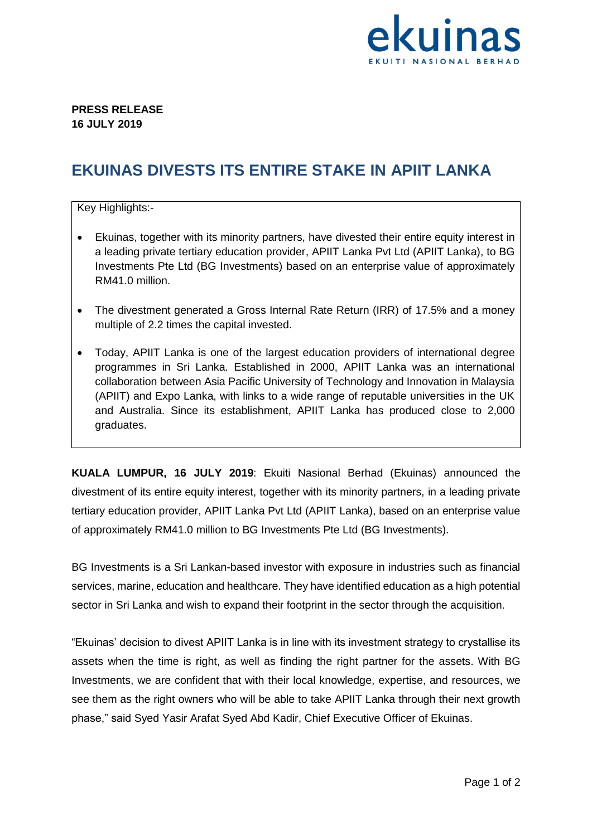

## **PRESS RELEASE 16 JULY 2019**

## **EKUINAS DIVESTS ITS ENTIRE STAKE IN APIIT LANKA**

## Key Highlights:-

- Ekuinas, together with its minority partners, have divested their entire equity interest in a leading private tertiary education provider, APIIT Lanka Pvt Ltd (APIIT Lanka), to BG Investments Pte Ltd (BG Investments) based on an enterprise value of approximately RM41.0 million.
- The divestment generated a Gross Internal Rate Return (IRR) of 17.5% and a money multiple of 2.2 times the capital invested.
- Today, APIIT Lanka is one of the largest education providers of international degree programmes in Sri Lanka. Established in 2000, APIIT Lanka was an international collaboration between Asia Pacific University of Technology and Innovation in Malaysia (APIIT) and Expo Lanka, with links to a wide range of reputable universities in the UK and Australia. Since its establishment, APIIT Lanka has produced close to 2,000 graduates.

**KUALA LUMPUR, 16 JULY 2019**: Ekuiti Nasional Berhad (Ekuinas) announced the divestment of its entire equity interest, together with its minority partners, in a leading private tertiary education provider, APIIT Lanka Pvt Ltd (APIIT Lanka), based on an enterprise value of approximately RM41.0 million to BG Investments Pte Ltd (BG Investments).

BG Investments is a Sri Lankan-based investor with exposure in industries such as financial services, marine, education and healthcare. They have identified education as a high potential sector in Sri Lanka and wish to expand their footprint in the sector through the acquisition.

"Ekuinas' decision to divest APIIT Lanka is in line with its investment strategy to crystallise its assets when the time is right, as well as finding the right partner for the assets. With BG Investments, we are confident that with their local knowledge, expertise, and resources, we see them as the right owners who will be able to take APIIT Lanka through their next growth phase," said Syed Yasir Arafat Syed Abd Kadir, Chief Executive Officer of Ekuinas.